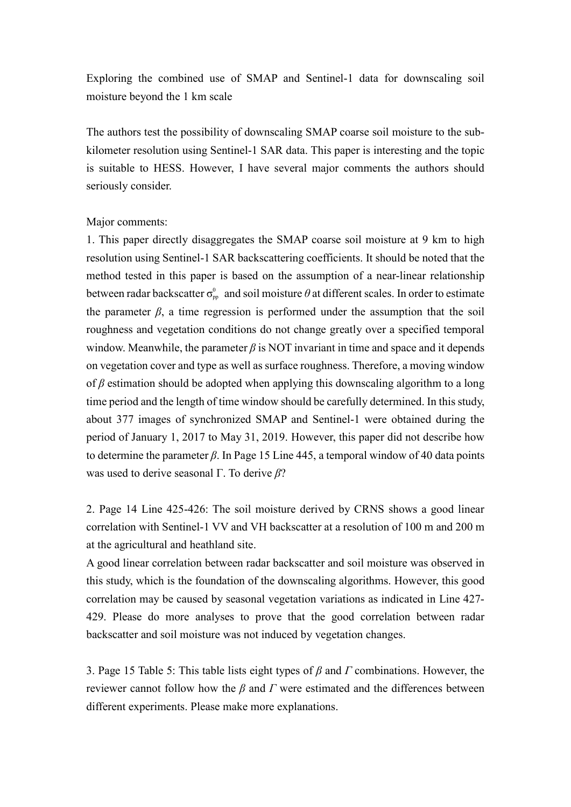Exploring the combined use of SMAP and Sentinel-1 data for downscaling soil moisture beyond the 1 km scale

The authors test the possibility of downscaling SMAP coarse soil moisture to the subkilometer resolution using Sentinel-1 SAR data. This paper is interesting and the topic is suitable to HESS. However, I have several major comments the authors should seriously consider.

## Major comments:

1. This paper directly disaggregates the SMAP coarse soil moisture at 9 km to high resolution using Sentinel-1 SAR backscattering coefficients. It should be noted that the method tested in this paper is based on the assumption of a near-linear relationship between radar backscatter  $\sigma_{\rm pp}^0$  and soil moisture  $\theta$  at different scales. In order to estimate the parameter  $\beta$ , a time regression is performed under the assumption that the soil roughness and vegetation conditions do not change greatly over a specified temporal window. Meanwhile, the parameter  $\beta$  is NOT invariant in time and space and it depends on vegetation cover and type as well as surface roughness. Therefore, a moving window of *β* estimation should be adopted when applying this downscaling algorithm to a long time period and the length of time window should be carefully determined. In this study, about 377 images of synchronized SMAP and Sentinel-1 were obtained during the period of January 1, 2017 to May 31, 2019. However, this paper did not describe how to determine the parameter *β*. In Page 15 Line 445, a temporal window of 40 data points was used to derive seasonal Γ. To derive *β*?

2. Page 14 Line 425-426: The soil moisture derived by CRNS shows a good linear correlation with Sentinel-1 VV and VH backscatter at a resolution of 100 m and 200 m at the agricultural and heathland site.

A good linear correlation between radar backscatter and soil moisture was observed in this study, which is the foundation of the downscaling algorithms. However, this good correlation may be caused by seasonal vegetation variations as indicated in Line 427- 429. Please do more analyses to prove that the good correlation between radar backscatter and soil moisture was not induced by vegetation changes.

3. Page 15 Table 5: This table lists eight types of *β* and *Γ* combinations. However, the reviewer cannot follow how the *β* and *Γ* were estimated and the differences between different experiments. Please make more explanations.